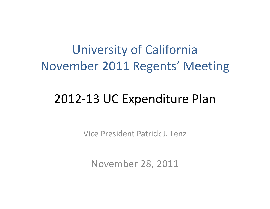## University of California November 2011 Regents' Meeting

#### 2012‐13 UC Expenditure Plan

Vice President Patrick J. Lenz

November 28, 2011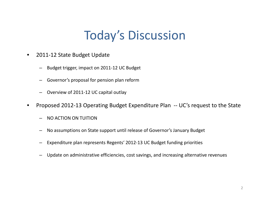#### **Today's Discussion**

- $\bullet$ ● 2011-12 State Budget Update
	- –Budget trigger, impact on 2011‐12 UC Budget
	- –Governor's proposal for pension plan reform
	- –- Overview of 2011-12 UC capital outlay
- $\bullet$  Proposed 2012‐13 Operating Budget Expenditure Plan ‐‐ UC's request to the State
	- – $- \;$  NO ACTION ON TUITION
	- –No assumptions on State support until release of Governor's January Budget
	- –Expenditure plan represents Regents' 2012-13 UC Budget funding priorities
	- –Update on administrative efficiencies, cost savings, and increasing alternative revenues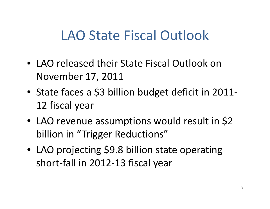## LAO State Fiscal Outlook

- LAO released their State Fiscal Outlook on November 17, 2011
- State faces <sup>a</sup> \$3 billion budget deficit in 2011‐ 12 fiscal year
- LAO revenue assumptions would result in \$2 billion in "Trigger Reductions"
- LAO projecting \$9.8 billion state operating short‐fall in 2012‐13 fiscal year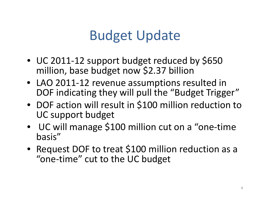# Budget Update

- UC 2011‐<sup>12</sup> support budget reduced by \$650 million, base budget now \$2.37 billion
- LAO 2011‐12 revenue assumptions resulted in DOF indicating they will pull the "Budget Trigger"
- DOF action will result in \$100 million reduction to UC support budget
- UC will manage \$100 million cut on <sup>a</sup> "one‐time basis"
- Request DOF to treat \$100 million reduction as <sup>a</sup> "one‐time" cut to the UC budget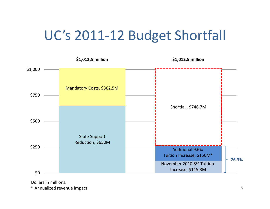## UC's 2011-12 Budget Shortfall



Dollars in millions.

\* Annualized revenue impact.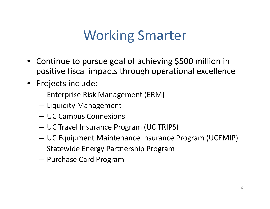# Working Smarter

- Continue to pursue goal of achieving \$500 million in positive fiscal impacts through operational excellence
- Projects include:
	- $-$  Enterprise Risk Management (ERM)
	- $-$  Liquidity Management
	- –UC Campus Connexions
	- UC Travel Insurance Program (UC TRIPS)
	- UC Equipment Maintenance Insurance Program (UCEMIP)
	- Statewide Energy Partnership Program
	- –Purchase Card Program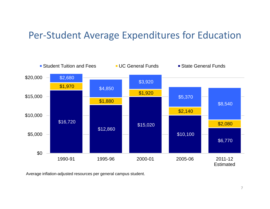#### Per‐Student Average Expenditures for Education



Average inflation-adjusted resources per general campus student.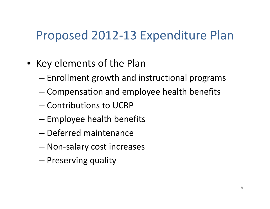#### Proposed 2012‐13 Expenditure Plan

- Key elements of the Plan
	- – $-$  Enrollment growth and instructional programs
	- –Compensation and employee health benefits
	- Contributions to UCRP
	- $-$  Employee health benefits
	- Deferred maintenance
	- –Non‐salary cost increases
	- –— Preserving quality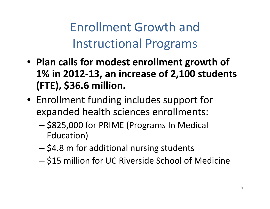Enrollment Growth and Instructional Programs

- **Plan calls for modest enrollment growth of 1% in 2012‐13, an increase of 2,100 students (FTE), \$36.6 million.**
- Enrollment funding includes support for expanded health sciences enrollments:
	- – \$825,000 for PRIME (Programs In Medical Education)
	- – $-$  \$4.8 m for additional nursing students
	- – $-$  \$15 million for UC Riverside School of Medicine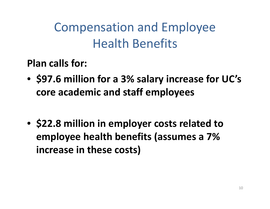Compensation and Employee Health Benefits

**Plan calls for:**

- **\$97.6 million for <sup>a</sup> 3% salary increase for UC's core academic and staff employees**
- **\$22.8 million in employer costs related to employee health benefits (assumes <sup>a</sup> 7% increase in these costs)**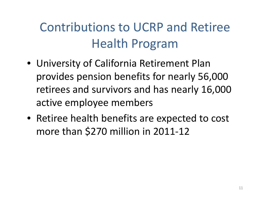## Contributions to UCRP and Retiree Health Program

- University of California Retirement Plan provides pension benefits for nearly 56,000 retirees and survivors and has nearly 16,000 active employee members
- Retiree health benefits are expected to cost more than \$270 million in 2011‐12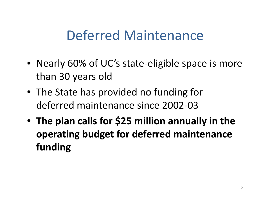## Deferred Maintenance

- Nearly 60% of UC's state-eligible space is more than 30 years old
- The State has provided no funding for deferred maintenance since 2002‐03
- **The plan calls for \$25 million annually in the operating budget for deferred maintenance f di un ng**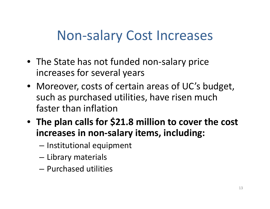## Non‐salary Cost Increases

- The State has not funded non-salary price increases for several years
- Moreover, costs of certain areas of UC's budget, such as purchased utilities, have risen much faster than inflation
- **The plan calls for \$21.8 million to cover the cost increases in non‐salary items, including:**
	- – $-$  Institutional equipment
	- –Library materials
	- Purchased utilities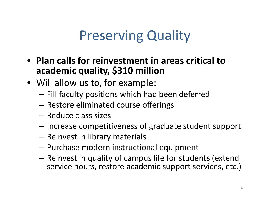## Preserving Quality

- **Plan calls for reinvestment in areas critical toacademic quality, \$310 million**
- Will allow us to, for example:
	- – $-$  Fill faculty positions which had been deferred
	- –Restore eliminated course offerings
	- Reduce class sizes
	- – $-$  Increase competitiveness of graduate student support
	- –— Reinvest in library materials
	- –Purchase modern instructional equipment
	- – $-$  Reinvest in quality of campus life for students (extend service hours, restore academic support services, etc.)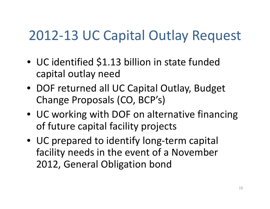# 2012‐13 UC Capital Outlay Request

- UC identified \$1.13 billion in state funded capital outlay need
- DOF returned all UC Capital Outlay, Budget Change Proposals (CO, BCP's)
- UC working with DOF on alternative financing of future capital facility projects
- UC prepared to identify long‐term capital facility needs in the event of <sup>a</sup> November 2012, General Obligation bond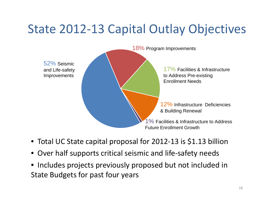#### State 2012‐13 Capital Outlay Objectives



- Total UC State capital proposal for 2012‐13 is \$1.13 billion
- Over half supports critical seismic and life‐safety needs
- Includes projects previously proposed but not included in State Budgets for past four years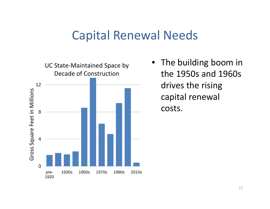#### Capital Renewal Needs



The building boom in the 1950s and 1960s drives the rising